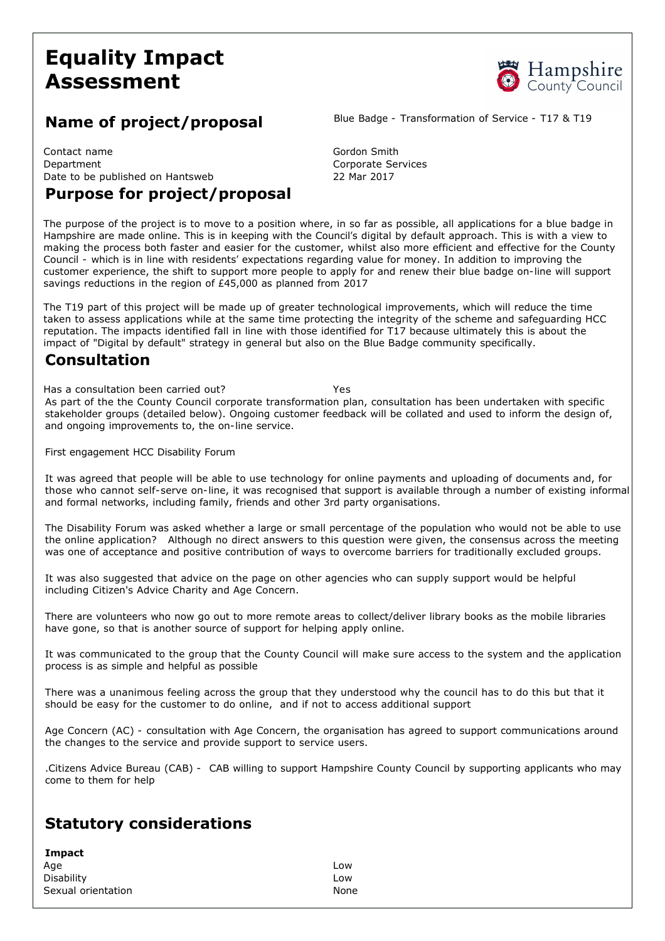# **Equality Impact Assessment**



## **Name of project/proposal** Blue Badge - Transformation of Service - T17 & T19

Contact name Gordon Smith Department Corporate Services Date to be published on Hantsweb 22 Mar 2017

# **Purpose for project/proposal**

The purpose of the project is to move to a position where, in so far as possible, all applications for a blue badge in Hampshire are made online. This is in keeping with the Council's digital by default approach. This is with a view to making the process both faster and easier for the customer, whilst also more efficient and effective for the County Council - which is in line with residents' expectations regarding value for money. In addition to improving the customer experience, the shift to support more people to apply for and renew their blue badge on-line will support savings reductions in the region of £45,000 as planned from 2017

The T19 part of this project will be made up of greater technological improvements, which will reduce the time taken to assess applications while at the same time protecting the integrity of the scheme and safeguarding HCC reputation. The impacts identified fall in line with those identified for T17 because ultimately this is about the impact of "Digital by default" strategy in general but also on the Blue Badge community specifically.

#### **Consultation**

Has a consultation been carried out? Yes As part of the the County Council corporate transformation plan, consultation has been undertaken with specific stakeholder groups (detailed below). Ongoing customer feedback will be collated and used to inform the design of, and ongoing improvements to, the on-line service.

First engagement HCC Disability Forum

It was agreed that people will be able to use technology for online payments and uploading of documents and, for those who cannot self-serve on-line, it was recognised that support is available through a number of existing informal and formal networks, including family, friends and other 3rd party organisations.

The Disability Forum was asked whether a large or small percentage of the population who would not be able to use the online application? Although no direct answers to this question were given, the consensus across the meeting was one of acceptance and positive contribution of ways to overcome barriers for traditionally excluded groups.

It was also suggested that advice on the page on other agencies who can supply support would be helpful including Citizen's Advice Charity and Age Concern.

There are volunteers who now go out to more remote areas to collect/deliver library books as the mobile libraries have gone, so that is another source of support for helping apply online.

It was communicated to the group that the County Council will make sure access to the system and the application process is as simple and helpful as possible

There was a unanimous feeling across the group that they understood why the council has to do this but that it should be easy for the customer to do online, and if not to access additional support

Age Concern (AC) - consultation with Age Concern, the organisation has agreed to support communications around the changes to the service and provide support to service users.

.Citizens Advice Bureau (CAB) CAB willing to support Hampshire County Council by supporting applicants who may come to them for help

# **Statutory considerations**

| Impact             |      |
|--------------------|------|
| Age                | Low  |
| Disability         | Low  |
| Sexual orientation | None |